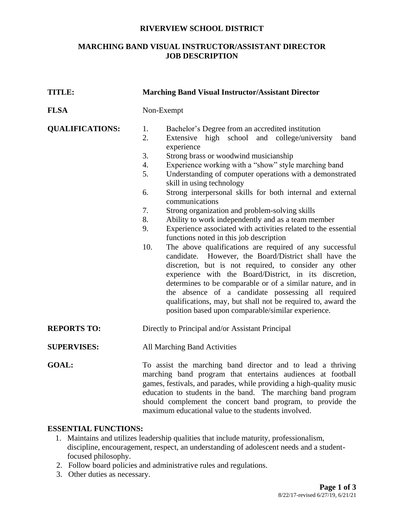#### **RIVERVIEW SCHOOL DISTRICT**

### **MARCHING BAND VISUAL INSTRUCTOR/ASSISTANT DIRECTOR JOB DESCRIPTION**

| <b>TITLE:</b>          | <b>Marching Band Visual Instructor/Assistant Director</b>                                                                                                                                                                                                                                                                                                                                                                                                                                                                                                                                                                                                                                                                                                                                                                                                                                                                                                                                                                                                                                                                                                               |
|------------------------|-------------------------------------------------------------------------------------------------------------------------------------------------------------------------------------------------------------------------------------------------------------------------------------------------------------------------------------------------------------------------------------------------------------------------------------------------------------------------------------------------------------------------------------------------------------------------------------------------------------------------------------------------------------------------------------------------------------------------------------------------------------------------------------------------------------------------------------------------------------------------------------------------------------------------------------------------------------------------------------------------------------------------------------------------------------------------------------------------------------------------------------------------------------------------|
| <b>FLSA</b>            | Non-Exempt                                                                                                                                                                                                                                                                                                                                                                                                                                                                                                                                                                                                                                                                                                                                                                                                                                                                                                                                                                                                                                                                                                                                                              |
| <b>QUALIFICATIONS:</b> | 1.<br>Bachelor's Degree from an accredited institution<br>2.<br>high school and college/university<br>Extensive<br>band<br>experience<br>3.<br>Strong brass or woodwind musicianship<br>Experience working with a "show" style marching band<br>4.<br>5.<br>Understanding of computer operations with a demonstrated<br>skill in using technology<br>Strong interpersonal skills for both internal and external<br>6.<br>communications<br>7.<br>Strong organization and problem-solving skills<br>Ability to work independently and as a team member<br>8.<br>Experience associated with activities related to the essential<br>9.<br>functions noted in this job description<br>10.<br>The above qualifications are required of any successful<br>candidate. However, the Board/District shall have the<br>discretion, but is not required, to consider any other<br>experience with the Board/District, in its discretion,<br>determines to be comparable or of a similar nature, and in<br>the absence of a candidate possessing all required<br>qualifications, may, but shall not be required to, award the<br>position based upon comparable/similar experience. |
| <b>REPORTS TO:</b>     | Directly to Principal and/or Assistant Principal                                                                                                                                                                                                                                                                                                                                                                                                                                                                                                                                                                                                                                                                                                                                                                                                                                                                                                                                                                                                                                                                                                                        |
| <b>SUPERVISES:</b>     | All Marching Band Activities                                                                                                                                                                                                                                                                                                                                                                                                                                                                                                                                                                                                                                                                                                                                                                                                                                                                                                                                                                                                                                                                                                                                            |
| <b>GOAL:</b>           | To assist the marching band director and to lead a thriving<br>marching band program that entertains audiences at football<br>games, festivals, and parades, while providing a high-quality music<br>education to students in the band. The marching band program<br>should complement the concert band program, to provide the<br>maximum educational value to the students involved.                                                                                                                                                                                                                                                                                                                                                                                                                                                                                                                                                                                                                                                                                                                                                                                  |

### **ESSENTIAL FUNCTIONS:**

- 1. Maintains and utilizes leadership qualities that include maturity, professionalism, discipline, encouragement, respect, an understanding of adolescent needs and a studentfocused philosophy.
- 2. Follow board policies and administrative rules and regulations.
- 3. Other duties as necessary.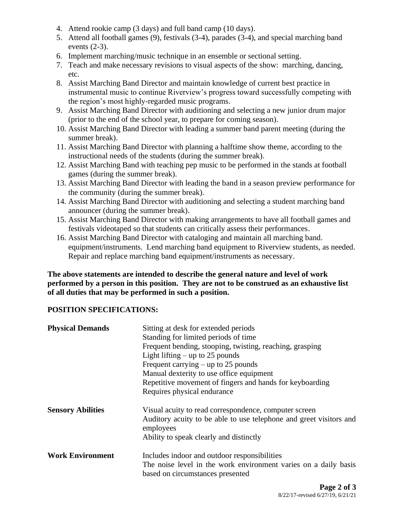- 4. Attend rookie camp (3 days) and full band camp (10 days).
- 5. Attend all football games (9), festivals (3-4), parades (3-4), and special marching band events (2-3).
- 6. Implement marching/music technique in an ensemble or sectional setting.
- 7. Teach and make necessary revisions to visual aspects of the show: marching, dancing, etc.
- 8. Assist Marching Band Director and maintain knowledge of current best practice in instrumental music to continue Riverview's progress toward successfully competing with the region's most highly-regarded music programs.
- 9. Assist Marching Band Director with auditioning and selecting a new junior drum major (prior to the end of the school year, to prepare for coming season).
- 10. Assist Marching Band Director with leading a summer band parent meeting (during the summer break).
- 11. Assist Marching Band Director with planning a halftime show theme, according to the instructional needs of the students (during the summer break).
- 12. Assist Marching Band with teaching pep music to be performed in the stands at football games (during the summer break).
- 13. Assist Marching Band Director with leading the band in a season preview performance for the community (during the summer break).
- 14. Assist Marching Band Director with auditioning and selecting a student marching band announcer (during the summer break).
- 15. Assist Marching Band Director with making arrangements to have all football games and festivals videotaped so that students can critically assess their performances.
- 16. Assist Marching Band Director with cataloging and maintain all marching band. equipment/instruments. Lend marching band equipment to Riverview students, as needed. Repair and replace marching band equipment/instruments as necessary.

**The above statements are intended to describe the general nature and level of work performed by a person in this position. They are not to be construed as an exhaustive list of all duties that may be performed in such a position.**

# **POSITION SPECIFICATIONS:**

| <b>Physical Demands</b>  | Sitting at desk for extended periods<br>Standing for limited periods of time<br>Frequent bending, stooping, twisting, reaching, grasping<br>Light lifting $-$ up to 25 pounds<br>Frequent carrying $-$ up to 25 pounds<br>Manual dexterity to use office equipment<br>Repetitive movement of fingers and hands for keyboarding<br>Requires physical endurance |
|--------------------------|---------------------------------------------------------------------------------------------------------------------------------------------------------------------------------------------------------------------------------------------------------------------------------------------------------------------------------------------------------------|
| <b>Sensory Abilities</b> | Visual acuity to read correspondence, computer screen<br>Auditory acuity to be able to use telephone and greet visitors and<br>employees<br>Ability to speak clearly and distinctly                                                                                                                                                                           |
| <b>Work Environment</b>  | Includes indoor and outdoor responsibilities<br>The noise level in the work environment varies on a daily basis<br>based on circumstances presented                                                                                                                                                                                                           |
|                          | $\mathbf{n}$ $\mathbf{a}$ $\mathbf{a}$                                                                                                                                                                                                                                                                                                                        |